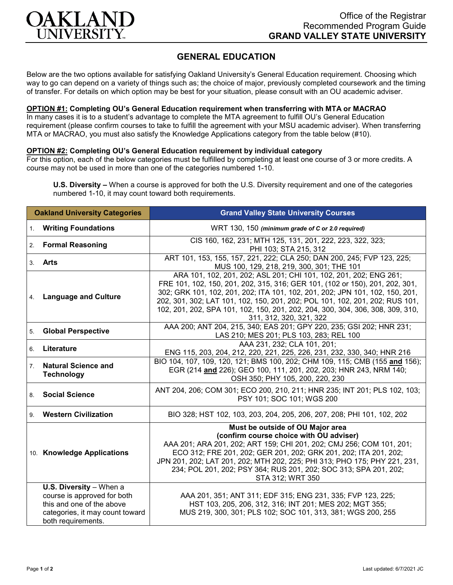

## **GENERAL EDUCATION**

Below are the two options available for satisfying Oakland University's General Education requirement. Choosing which way to go can depend on a variety of things such as; the choice of major, previously completed coursework and the timing of transfer. For details on which option may be best for your situation, please consult with an OU academic adviser.

## **OPTION #1: Completing OU's General Education requirement when transferring with MTA or MACRAO**

In many cases it is to a student's advantage to complete the MTA agreement to fulfill OU's General Education requirement (please confirm courses to take to fulfill the agreement with your MSU academic adviser). When transferring MTA or MACRAO, you must also satisfy the Knowledge Applications category from the table below (#10).

## **OPTION #2: Completing OU's General Education requirement by individual category**

For this option, each of the below categories must be fulfilled by completing at least one course of 3 or more credits. A course may not be used in more than one of the categories numbered 1-10.

**U.S. Diversity –** When a course is approved for both the U.S. Diversity requirement and one of the categories numbered 1-10, it may count toward both requirements.

| <b>Oakland University Categories</b> |                                                                                                                                                       | <b>Grand Valley State University Courses</b>                                                                                                                                                                                                                                                                                                                                                                                   |
|--------------------------------------|-------------------------------------------------------------------------------------------------------------------------------------------------------|--------------------------------------------------------------------------------------------------------------------------------------------------------------------------------------------------------------------------------------------------------------------------------------------------------------------------------------------------------------------------------------------------------------------------------|
| 1.                                   | <b>Writing Foundations</b>                                                                                                                            | WRT 130, 150 (minimum grade of C or 2.0 required)                                                                                                                                                                                                                                                                                                                                                                              |
| 2.                                   | <b>Formal Reasoning</b>                                                                                                                               | CIS 160, 162, 231; MTH 125, 131, 201, 222, 223, 322, 323;<br>PHI 103; STA 215, 312                                                                                                                                                                                                                                                                                                                                             |
| 3.                                   | Arts                                                                                                                                                  | ART 101, 153, 155, 157, 221, 222; CLA 250; DAN 200, 245; FVP 123, 225;<br>MUS 100, 129, 218, 219, 300, 301; THE 101                                                                                                                                                                                                                                                                                                            |
| 4.                                   | <b>Language and Culture</b>                                                                                                                           | ARA 101, 102, 201, 202; ASL 201; CHI 101, 102, 201, 202; ENG 261;<br>FRE 101, 102, 150, 201, 202, 315, 316; GER 101, (102 or 150), 201, 202, 301,<br>302; GRK 101, 102, 201, 202; ITA 101, 102, 201, 202; JPN 101, 102, 150, 201,<br>202, 301, 302; LAT 101, 102, 150, 201, 202; POL 101, 102, 201, 202; RUS 101,<br>102, 201, 202, SPA 101, 102, 150, 201, 202, 204, 300, 304, 306, 308, 309, 310,<br>311, 312, 320, 321, 322 |
| 5.                                   | <b>Global Perspective</b>                                                                                                                             | AAA 200; ANT 204, 215, 340; EAS 201; GPY 220, 235; GSI 202; HNR 231;<br>LAS 210; MES 201; PLS 103, 283; REL 100                                                                                                                                                                                                                                                                                                                |
| 6.                                   | Literature                                                                                                                                            | AAA 231, 232; CLA 101, 201;<br>ENG 115, 203, 204, 212, 220, 221, 225, 226, 231, 232, 330, 340; HNR 216                                                                                                                                                                                                                                                                                                                         |
| 7.                                   | <b>Natural Science and</b><br><b>Technology</b>                                                                                                       | BIO 104, 107, 109, 120, 121; BMS 100, 202; CHM 109, 115; CMB (155 and 156);<br>EGR (214 and 226); GEO 100, 111, 201, 202, 203; HNR 243, NRM 140;<br>OSH 350; PHY 105, 200, 220, 230                                                                                                                                                                                                                                            |
| 8.                                   | <b>Social Science</b>                                                                                                                                 | ANT 204, 206; COM 301; ECO 200, 210, 211; HNR 235; INT 201; PLS 102, 103;<br>PSY 101; SOC 101; WGS 200                                                                                                                                                                                                                                                                                                                         |
| 9.                                   | <b>Western Civilization</b>                                                                                                                           | BIO 328; HST 102, 103, 203, 204, 205, 206, 207, 208; PHI 101, 102, 202                                                                                                                                                                                                                                                                                                                                                         |
|                                      | 10. Knowledge Applications                                                                                                                            | Must be outside of OU Major area<br>(confirm course choice with OU adviser)<br>AAA 201; ARA 201, 202; ART 159; CHI 201, 202; CMJ 256; COM 101, 201;<br>ECO 312; FRE 201, 202; GER 201, 202; GRK 201, 202; ITA 201, 202;<br>JPN 201, 202; LAT 201, 202; MTH 202, 225; PHI 313; PHO 175; PHY 221, 231,<br>234; POL 201, 202; PSY 364; RUS 201, 202; SOC 313; SPA 201, 202;<br>STA 312; WRT 350                                   |
|                                      | <b>U.S. Diversity</b> $-$ When a<br>course is approved for both<br>this and one of the above<br>categories, it may count toward<br>both requirements. | AAA 201, 351; ANT 311; EDF 315; ENG 231, 335; FVP 123, 225;<br>HST 103, 205, 206, 312, 316; INT 201; MES 202; MGT 355;<br>MUS 219, 300, 301; PLS 102; SOC 101, 313, 381; WGS 200, 255                                                                                                                                                                                                                                          |